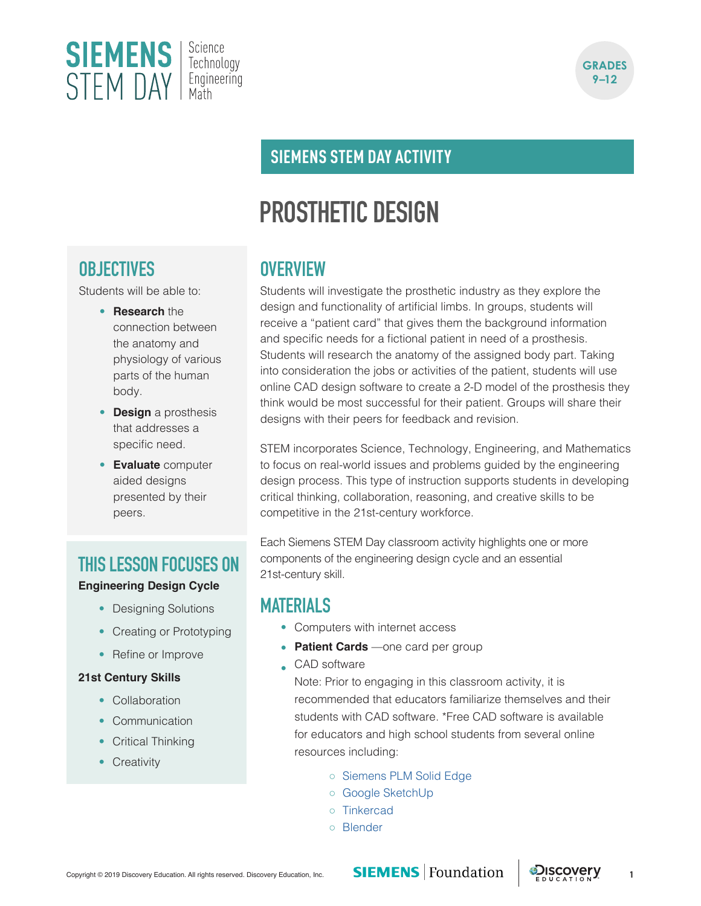



### **SIEMENS STEM DAY ACTIVITY**

# **PROSTHETIC DESIGN**

# **OBJECTIVES**

Students will be able to:

- **Research** the connection between the anatomy and physiology of various parts of the human body.
- **Design** a prosthesis that addresses a specific need.
- **Evaluate** computer aided designs presented by their peers.

### **THIS LESSON FOCUSES ON**

#### **Engineering Design Cycle**

- Designing Solutions
- Creating or Prototyping
- Refine or Improve

#### **21st Century Skills**

- Collaboration
- Communication
- Critical Thinking
- Creativity

### **OVERVIEW**

Students will investigate the prosthetic industry as they explore the design and functionality of artificial limbs. In groups, students will receive a "patient card" that gives them the background information and specific needs for a fictional patient in need of a prosthesis. Students will research the anatomy of the assigned body part. Taking into consideration the jobs or activities of the patient, students will use online CAD design software to create a 2-D model of the prosthesis they think would be most successful for their patient. Groups will share their designs with their peers for feedback and revision.

STEM incorporates Science, Technology, Engineering, and Mathematics to focus on real-world issues and problems guided by the engineering design process. This type of instruction supports students in developing critical thinking, collaboration, reasoning, and creative skills to be competitive in the 21st-century workforce.

Each Siemens STEM Day classroom activity highlights one or more components of the engineering design cycle and an essential 21st-century skill.

### **MATERIALS**

- Computers with internet access
- **Patient Cards** —one card per group
- CAD software

Note: Prior to engaging in this classroom activity, it is recommended that educators familiarize themselves and their students with CAD software. \*Free CAD software is available for educators and high school students from several online resources including:

- [Siemens PLM Solid Edge](https://www.plm.automation.siemens.com/plmapp/education/solid-edge/en_us/free-software/student)
- [Google SketchUp](https://www.sketchup.com/)
- [Tinkercad](https://www.tinkercad.com/)
- [Blender](https://www.blender.org/)

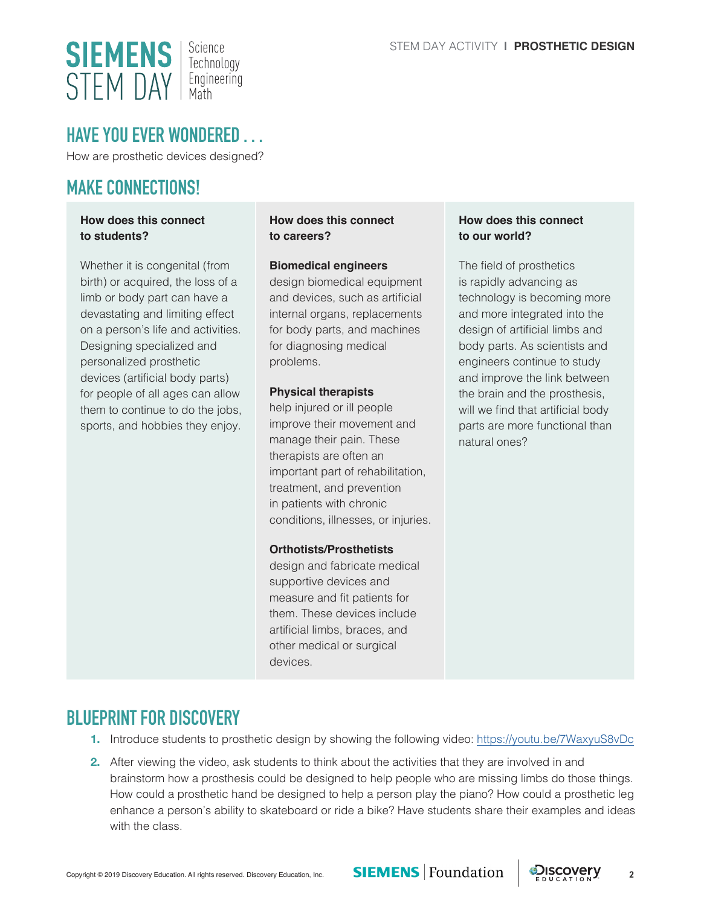

### **HAVE YOU EVER WONDERED . . .**

How are prosthetic devices designed?

### **MAKE CONNECTIONS!**

#### **How does this connect to students?**

Whether it is congenital (from birth) or acquired, the loss of a limb or body part can have a devastating and limiting effect on a person's life and activities. Designing specialized and personalized prosthetic devices (artificial body parts) for people of all ages can allow them to continue to do the jobs, sports, and hobbies they enjoy.

**How does this connect to careers?**

#### **Biomedical engineers**

design biomedical equipment and devices, such as artificial internal organs, replacements for body parts, and machines for diagnosing medical problems.

#### **Physical therapists**

help injured or ill people improve their movement and manage their pain. These therapists are often an important part of rehabilitation, treatment, and prevention in patients with chronic conditions, illnesses, or injuries.

#### **Orthotists/Prosthetists**

design and fabricate medical supportive devices and measure and fit patients for them. These devices include artificial limbs, braces, and other medical or surgical devices.

#### **How does this connect to our world?**

The field of prosthetics is rapidly advancing as technology is becoming more and more integrated into the design of artificial limbs and body parts. As scientists and engineers continue to study and improve the link between the brain and the prosthesis, will we find that artificial body parts are more functional than natural ones?

### **BLUEPRINT FOR DISCOVERY**

- **1.** Introduce students to prosthetic design by showing the following video: <https://youtu.be/7WaxyuS8vDc>
- **2.** After viewing the video, ask students to think about the activities that they are involved in and brainstorm how a prosthesis could be designed to help people who are missing limbs do those things. How could a prosthetic hand be designed to help a person play the piano? How could a prosthetic leg enhance a person's ability to skateboard or ride a bike? Have students share their examples and ideas with the class.

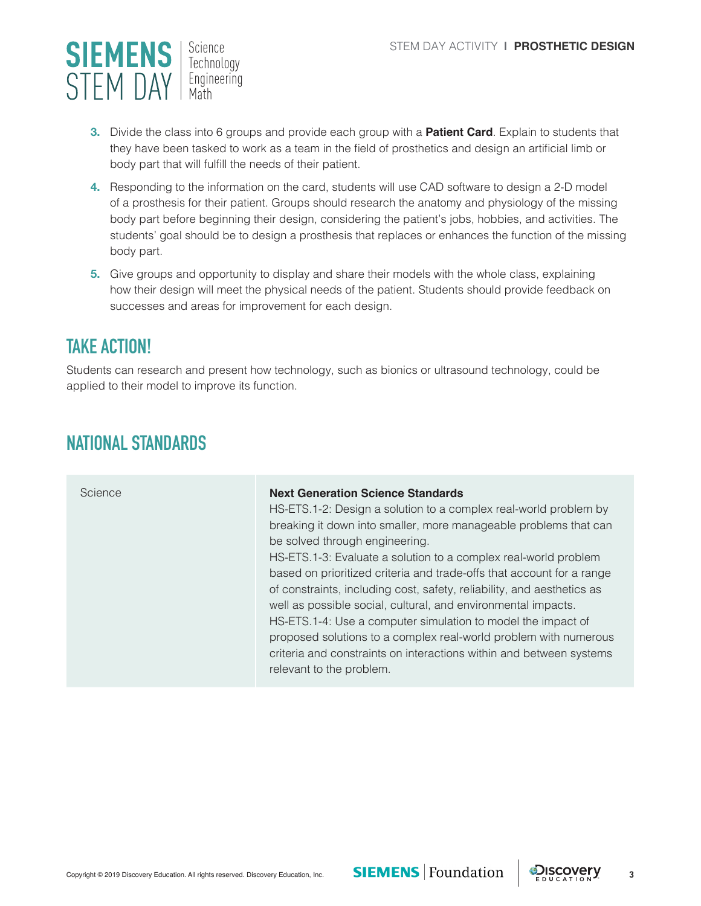

- **3.** Divide the class into 6 groups and provide each group with a **Patient Card**. Explain to students that they have been tasked to work as a team in the field of prosthetics and design an artificial limb or body part that will fulfill the needs of their patient.
- **4.** Responding to the information on the card, students will use CAD software to design a 2-D model of a prosthesis for their patient. Groups should research the anatomy and physiology of the missing body part before beginning their design, considering the patient's jobs, hobbies, and activities. The students' goal should be to design a prosthesis that replaces or enhances the function of the missing body part.
- **5.** Give groups and opportunity to display and share their models with the whole class, explaining how their design will meet the physical needs of the patient. Students should provide feedback on successes and areas for improvement for each design.

# **TAKE ACTION!**

Students can research and present how technology, such as bionics or ultrasound technology, could be applied to their model to improve its function.

# **NATIONAL STANDARDS**

| Science | <b>Next Generation Science Standards</b><br>HS-ETS.1-2: Design a solution to a complex real-world problem by<br>breaking it down into smaller, more manageable problems that can<br>be solved through engineering.<br>HS-ETS.1-3: Evaluate a solution to a complex real-world problem<br>based on prioritized criteria and trade-offs that account for a range<br>of constraints, including cost, safety, reliability, and aesthetics as<br>well as possible social, cultural, and environmental impacts.<br>HS-ETS.1-4: Use a computer simulation to model the impact of<br>proposed solutions to a complex real-world problem with numerous<br>criteria and constraints on interactions within and between systems<br>relevant to the problem. |
|---------|--------------------------------------------------------------------------------------------------------------------------------------------------------------------------------------------------------------------------------------------------------------------------------------------------------------------------------------------------------------------------------------------------------------------------------------------------------------------------------------------------------------------------------------------------------------------------------------------------------------------------------------------------------------------------------------------------------------------------------------------------|
|         |                                                                                                                                                                                                                                                                                                                                                                                                                                                                                                                                                                                                                                                                                                                                                  |

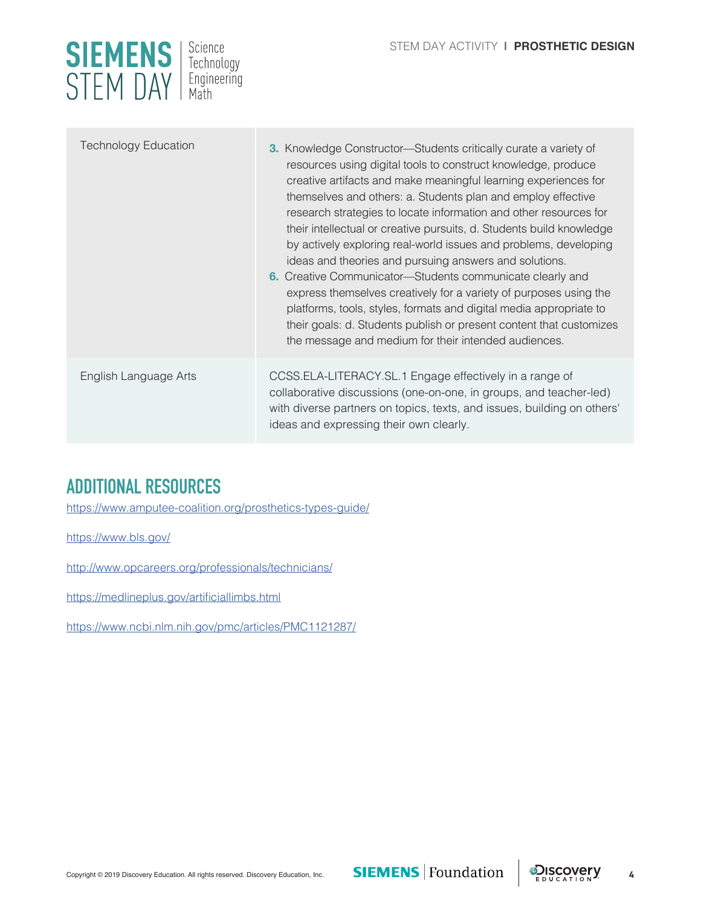

| <b>Technology Education</b> | <b>3.</b> Knowledge Constructor—Students critically curate a variety of<br>resources using digital tools to construct knowledge, produce<br>creative artifacts and make meaningful learning experiences for<br>themselves and others: a. Students plan and employ effective<br>research strategies to locate information and other resources for<br>their intellectual or creative pursuits, d. Students build knowledge<br>by actively exploring real-world issues and problems, developing<br>ideas and theories and pursuing answers and solutions.<br>6. Creative Communicator-Students communicate clearly and<br>express themselves creatively for a variety of purposes using the<br>platforms, tools, styles, formats and digital media appropriate to<br>their goals: d. Students publish or present content that customizes<br>the message and medium for their intended audiences. |
|-----------------------------|-----------------------------------------------------------------------------------------------------------------------------------------------------------------------------------------------------------------------------------------------------------------------------------------------------------------------------------------------------------------------------------------------------------------------------------------------------------------------------------------------------------------------------------------------------------------------------------------------------------------------------------------------------------------------------------------------------------------------------------------------------------------------------------------------------------------------------------------------------------------------------------------------|
| English Language Arts       | CCSS.ELA-LITERACY.SL.1 Engage effectively in a range of<br>collaborative discussions (one-on-one, in groups, and teacher-led)<br>with diverse partners on topics, texts, and issues, building on others'<br>ideas and expressing their own clearly.                                                                                                                                                                                                                                                                                                                                                                                                                                                                                                                                                                                                                                           |

# **ADDITIONAL RESOURCES**

<https://www.amputee-coalition.org/prosthetics-types-guide/>

<https://www.bls.gov/>

<http://www.opcareers.org/professionals/technicians/>

<https://medlineplus.gov/artificiallimbs.html>

<https://www.ncbi.nlm.nih.gov/pmc/articles/PMC1121287/>

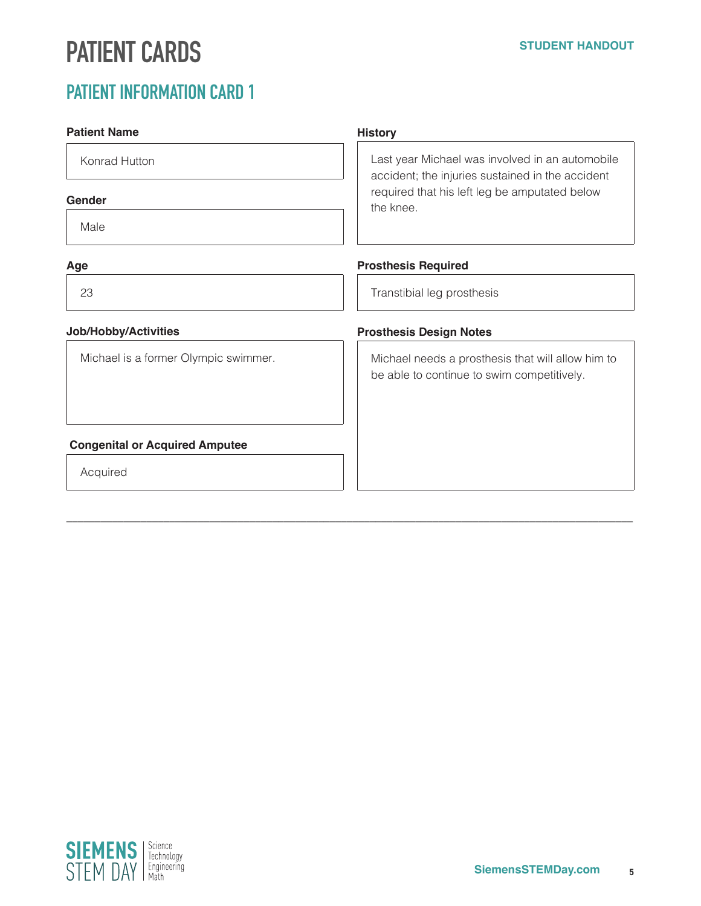# **PATIENT CARDS**

### **Patient Name** Konrad Hutton **Gender** Male **Age** 23 **Job/Hobby/Activities** Michael is a former Olympic swimmer.  **Congenital or Acquired Amputee** Acquired **History** Last year Michael was involved in an automobile accident; the injuries sustained in the accident required that his left leg be amputated below the knee. **Prosthesis Required** Transtibial leg prosthesis **Prosthesis Design Notes** Michael needs a prosthesis that will allow him to be able to continue to swim competitively.

\_\_\_\_\_\_\_\_\_\_\_\_\_\_\_\_\_\_\_\_\_\_\_\_\_\_\_\_\_\_\_\_\_\_\_\_\_\_\_\_\_\_\_\_\_\_\_\_\_\_\_\_\_\_\_\_\_\_\_\_\_\_\_\_\_\_\_\_\_\_\_\_\_\_\_\_\_\_\_\_\_\_\_\_\_\_\_\_\_\_\_\_\_\_\_\_\_\_\_

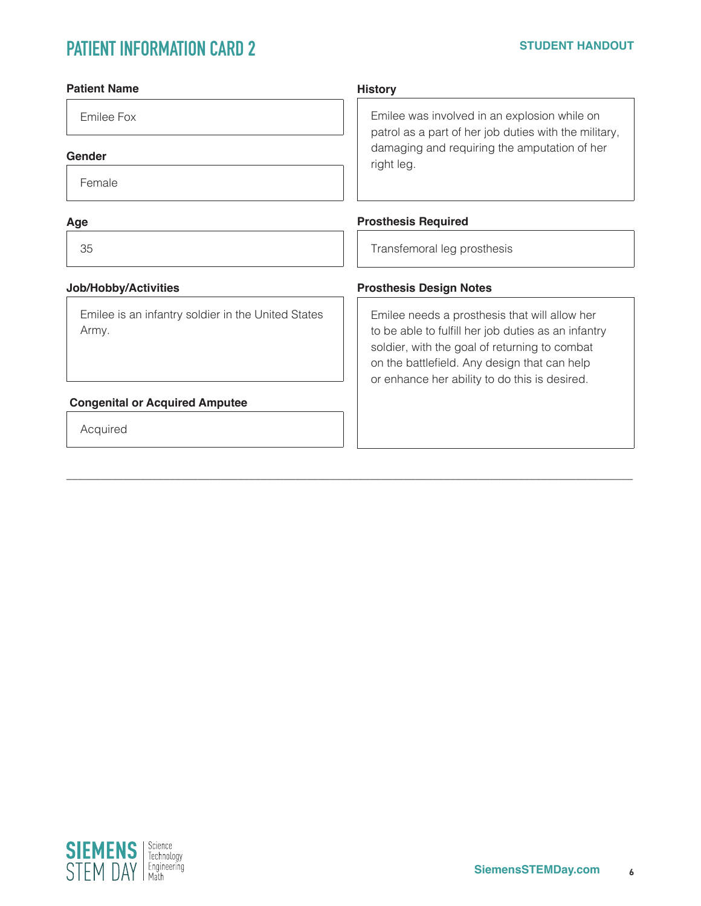| <b>Patient Name</b>                                         | <b>History</b>                                                                                                                                                                                                                                         |  |
|-------------------------------------------------------------|--------------------------------------------------------------------------------------------------------------------------------------------------------------------------------------------------------------------------------------------------------|--|
| Emilee Fox                                                  | Emilee was involved in an explosion while on<br>patrol as a part of her job duties with the military,<br>damaging and requiring the amputation of her<br>right leg.                                                                                    |  |
| Gender                                                      |                                                                                                                                                                                                                                                        |  |
| Female                                                      |                                                                                                                                                                                                                                                        |  |
| Age                                                         | <b>Prosthesis Required</b>                                                                                                                                                                                                                             |  |
| 35                                                          | Transfemoral leg prosthesis                                                                                                                                                                                                                            |  |
| Job/Hobby/Activities                                        | <b>Prosthesis Design Notes</b>                                                                                                                                                                                                                         |  |
| Emilee is an infantry soldier in the United States<br>Army. | Emilee needs a prosthesis that will allow her<br>to be able to fulfill her job duties as an infantry<br>soldier, with the goal of returning to combat<br>on the battlefield. Any design that can help<br>or enhance her ability to do this is desired. |  |
| <b>Congenital or Acquired Amputee</b>                       |                                                                                                                                                                                                                                                        |  |
| Acquired                                                    |                                                                                                                                                                                                                                                        |  |
|                                                             |                                                                                                                                                                                                                                                        |  |

 $\_$  ,  $\_$  ,  $\_$  ,  $\_$  ,  $\_$  ,  $\_$  ,  $\_$  ,  $\_$  ,  $\_$  ,  $\_$  ,  $\_$  ,  $\_$  ,  $\_$  ,  $\_$  ,  $\_$  ,  $\_$  ,  $\_$  ,  $\_$  ,  $\_$  ,  $\_$  ,  $\_$  ,  $\_$  ,  $\_$  ,  $\_$  ,  $\_$  ,  $\_$  ,  $\_$  ,  $\_$  ,  $\_$  ,  $\_$  ,  $\_$  ,  $\_$  ,  $\_$  ,  $\_$  ,  $\_$  ,  $\_$  ,  $\_$  ,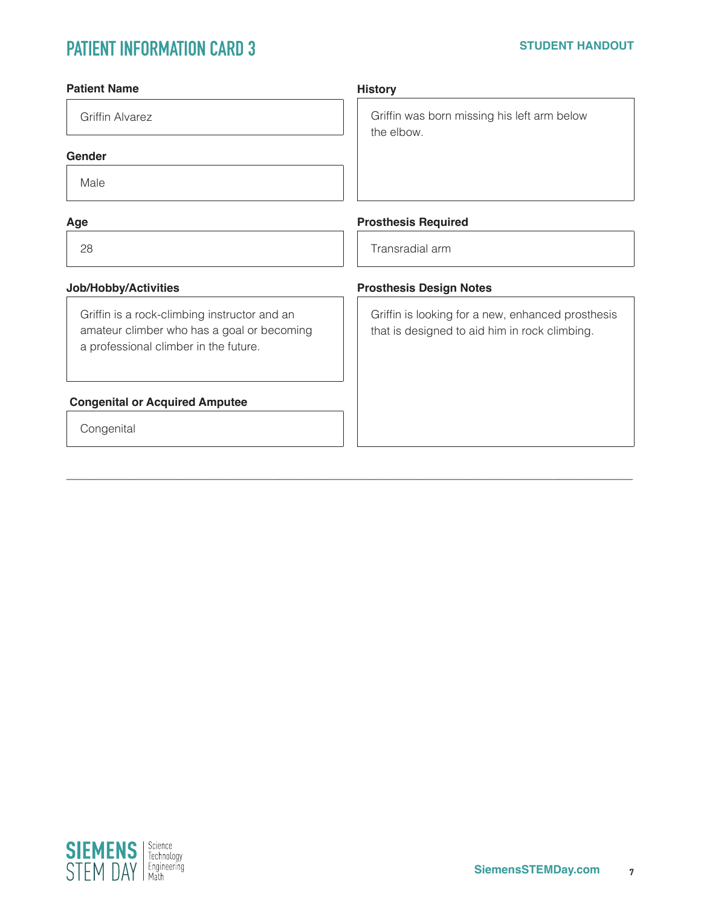| <b>Patient Name</b>                                                                                                                 | <b>History</b>                                                                                     |
|-------------------------------------------------------------------------------------------------------------------------------------|----------------------------------------------------------------------------------------------------|
| <b>Griffin Alvarez</b>                                                                                                              | Griffin was born missing his left arm below<br>the elbow.                                          |
| Gender                                                                                                                              |                                                                                                    |
| Male                                                                                                                                |                                                                                                    |
| Age                                                                                                                                 | <b>Prosthesis Required</b>                                                                         |
| 28                                                                                                                                  | Transradial arm                                                                                    |
| Job/Hobby/Activities                                                                                                                | <b>Prosthesis Design Notes</b>                                                                     |
| Griffin is a rock-climbing instructor and an<br>amateur climber who has a goal or becoming<br>a professional climber in the future. | Griffin is looking for a new, enhanced prosthesis<br>that is designed to aid him in rock climbing. |
| <b>Congenital or Acquired Amputee</b>                                                                                               |                                                                                                    |
| Congenital                                                                                                                          |                                                                                                    |
|                                                                                                                                     |                                                                                                    |

\_\_\_\_\_\_\_\_\_\_\_\_\_\_\_\_\_\_\_\_\_\_\_\_\_\_\_\_\_\_\_\_\_\_\_\_\_\_\_\_\_\_\_\_\_\_\_\_\_\_\_\_\_\_\_\_\_\_\_\_\_\_\_\_\_\_\_\_\_\_\_\_\_\_\_\_\_\_\_\_\_\_\_\_\_\_\_\_\_\_\_\_\_\_\_\_\_\_\_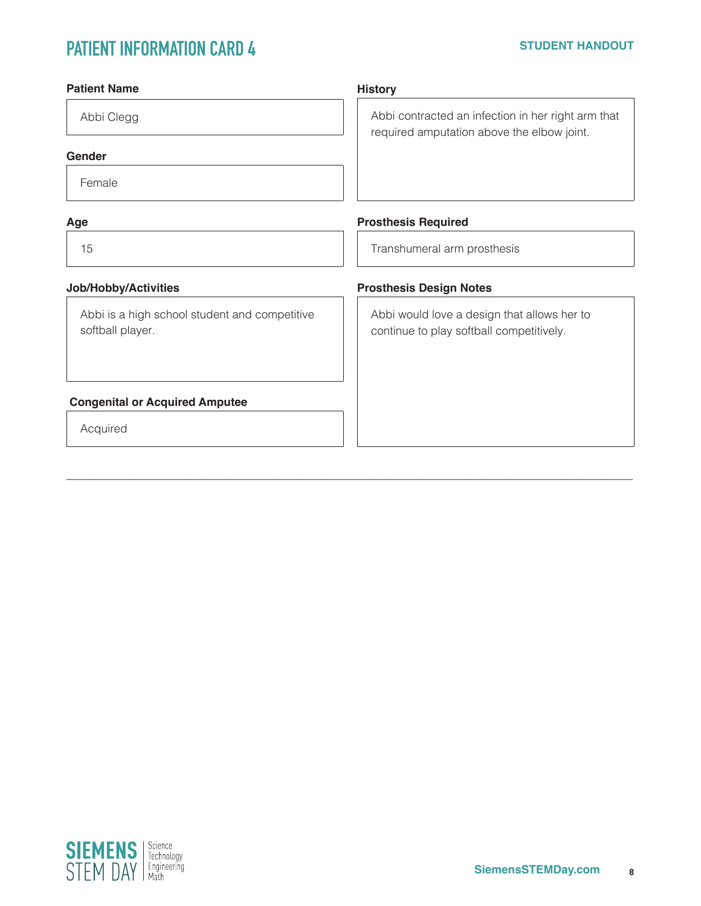| <b>Patient Name</b>                                               | <b>History</b>                                                                                   |
|-------------------------------------------------------------------|--------------------------------------------------------------------------------------------------|
| Abbi Clegg                                                        | Abbi contracted an infection in her right arm that<br>required amputation above the elbow joint. |
| Gender                                                            |                                                                                                  |
| Female                                                            |                                                                                                  |
| Age                                                               | <b>Prosthesis Required</b>                                                                       |
| 15                                                                | Transhumeral arm prosthesis                                                                      |
| Job/Hobby/Activities                                              | <b>Prosthesis Design Notes</b>                                                                   |
| Abbi is a high school student and competitive<br>softball player. | Abbi would love a design that allows her to<br>continue to play softball competitively.          |
| <b>Congenital or Acquired Amputee</b>                             |                                                                                                  |
| Acquired                                                          |                                                                                                  |
|                                                                   |                                                                                                  |

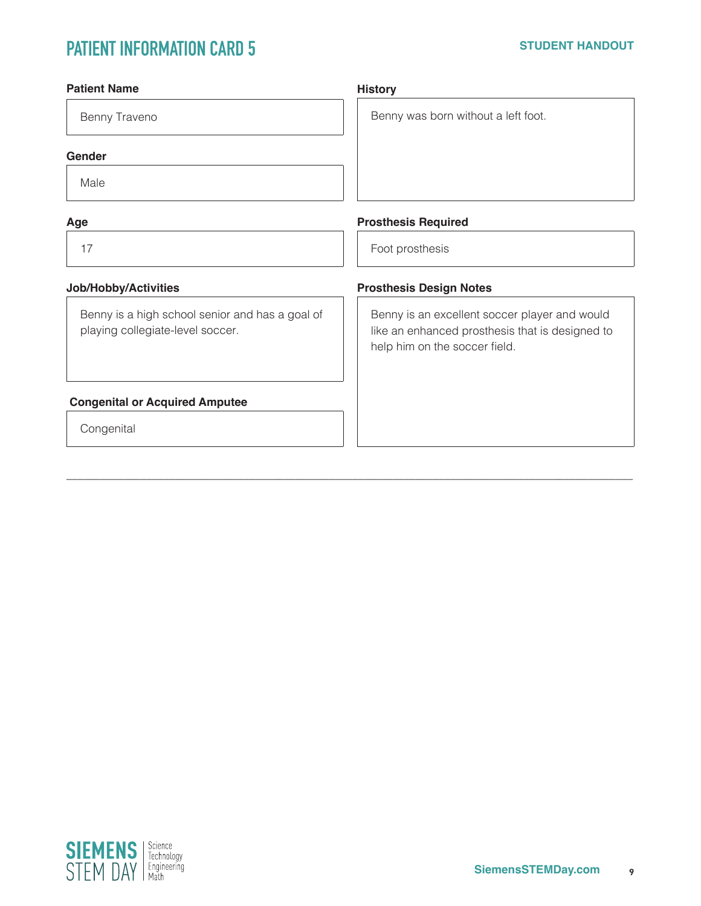| <b>Patient Name</b>                                                                 | <b>History</b>                                                                                                                    |
|-------------------------------------------------------------------------------------|-----------------------------------------------------------------------------------------------------------------------------------|
| Benny Traveno                                                                       | Benny was born without a left foot.                                                                                               |
| Gender                                                                              |                                                                                                                                   |
| Male                                                                                |                                                                                                                                   |
| Age                                                                                 | <b>Prosthesis Required</b>                                                                                                        |
| 17                                                                                  | Foot prosthesis                                                                                                                   |
| Job/Hobby/Activities                                                                | <b>Prosthesis Design Notes</b>                                                                                                    |
| Benny is a high school senior and has a goal of<br>playing collegiate-level soccer. | Benny is an excellent soccer player and would<br>like an enhanced prosthesis that is designed to<br>help him on the soccer field. |
| <b>Congenital or Acquired Amputee</b>                                               |                                                                                                                                   |
| Congenital                                                                          |                                                                                                                                   |
|                                                                                     |                                                                                                                                   |

\_\_\_\_\_\_\_\_\_\_\_\_\_\_\_\_\_\_\_\_\_\_\_\_\_\_\_\_\_\_\_\_\_\_\_\_\_\_\_\_\_\_\_\_\_\_\_\_\_\_\_\_\_\_\_\_\_\_\_\_\_\_\_\_\_\_\_\_\_\_\_\_\_\_\_\_\_\_\_\_\_\_\_\_\_\_\_\_\_\_\_\_\_\_\_\_\_\_\_